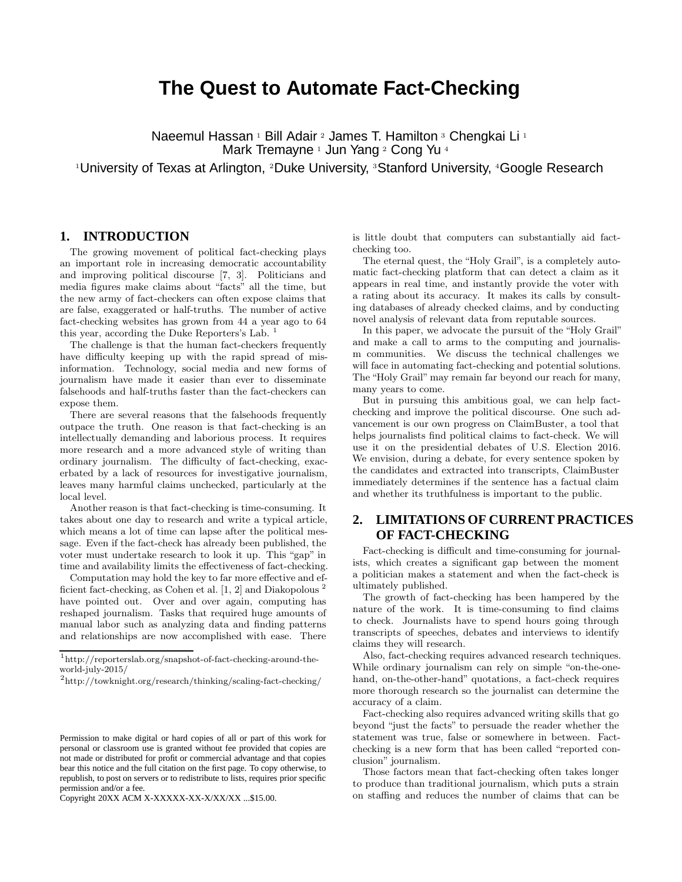# **The Quest to Automate Fact-Checking**

Naeemul Hassan 1 Bill Adair 2 James T. Hamilton 3 Chengkai Li 1 Mark Tremayne 1 Jun Yang 2 Cong Yu 4 <sup>1</sup>University of Texas at Arlington, <sup>2</sup>Duke University, <sup>3</sup>Stanford University, <sup>4</sup>Google Research

## **1. INTRODUCTION**

The growing movement of political fact-checking plays an important role in increasing democratic accountability and improving political discourse [7, 3]. Politicians and media figures make claims about "facts" all the time, but the new army of fact-checkers can often expose claims that are false, exaggerated or half-truths. The number of active fact-checking websites has grown from 44 a year ago to 64 this year, according the Duke Reporters's Lab. <sup>1</sup>

The challenge is that the human fact-checkers frequently have difficulty keeping up with the rapid spread of misinformation. Technology, social media and new forms of journalism have made it easier than ever to disseminate falsehoods and half-truths faster than the fact-checkers can expose them.

There are several reasons that the falsehoods frequently outpace the truth. One reason is that fact-checking is an intellectually demanding and laborious process. It requires more research and a more advanced style of writing than ordinary journalism. The difficulty of fact-checking, exacerbated by a lack of resources for investigative journalism, leaves many harmful claims unchecked, particularly at the local level.

Another reason is that fact-checking is time-consuming. It takes about one day to research and write a typical article, which means a lot of time can lapse after the political message. Even if the fact-check has already been published, the voter must undertake research to look it up. This "gap" in time and availability limits the effectiveness of fact-checking.

Computation may hold the key to far more effective and efficient fact-checking, as Cohen et al. [1, 2] and Diakopolous <sup>2</sup> have pointed out. Over and over again, computing has reshaped journalism. Tasks that required huge amounts of manual labor such as analyzing data and finding patterns and relationships are now accomplished with ease. There

Copyright 20XX ACM X-XXXXX-XX-X/XX/XX ...\$15.00.

is little doubt that computers can substantially aid factchecking too.

The eternal quest, the "Holy Grail", is a completely automatic fact-checking platform that can detect a claim as it appears in real time, and instantly provide the voter with a rating about its accuracy. It makes its calls by consulting databases of already checked claims, and by conducting novel analysis of relevant data from reputable sources.

In this paper, we advocate the pursuit of the "Holy Grail" and make a call to arms to the computing and journalism communities. We discuss the technical challenges we will face in automating fact-checking and potential solutions. The "Holy Grail" may remain far beyond our reach for many, many years to come.

But in pursuing this ambitious goal, we can help factchecking and improve the political discourse. One such advancement is our own progress on ClaimBuster, a tool that helps journalists find political claims to fact-check. We will use it on the presidential debates of U.S. Election 2016. We envision, during a debate, for every sentence spoken by the candidates and extracted into transcripts, ClaimBuster immediately determines if the sentence has a factual claim and whether its truthfulness is important to the public.

# **2. LIMITATIONS OF CURRENT PRACTICES OF FACT-CHECKING**

Fact-checking is difficult and time-consuming for journalists, which creates a significant gap between the moment a politician makes a statement and when the fact-check is ultimately published.

The growth of fact-checking has been hampered by the nature of the work. It is time-consuming to find claims to check. Journalists have to spend hours going through transcripts of speeches, debates and interviews to identify claims they will research.

Also, fact-checking requires advanced research techniques. While ordinary journalism can rely on simple "on-the-onehand, on-the-other-hand" quotations, a fact-check requires more thorough research so the journalist can determine the accuracy of a claim.

Fact-checking also requires advanced writing skills that go beyond "just the facts" to persuade the reader whether the statement was true, false or somewhere in between. Factchecking is a new form that has been called "reported conclusion" journalism.

Those factors mean that fact-checking often takes longer to produce than traditional journalism, which puts a strain on staffing and reduces the number of claims that can be

<sup>1</sup> http://reporterslab.org/snapshot-of-fact-checking-around-theworld-july-2015/

<sup>2</sup> http://towknight.org/research/thinking/scaling-fact-checking/

Permission to make digital or hard copies of all or part of this work for personal or classroom use is granted without fee provided that copies are not made or distributed for profit or commercial advantage and that copies bear this notice and the full citation on the first page. To copy otherwise, to republish, to post on servers or to redistribute to lists, requires prior specific permission and/or a fee.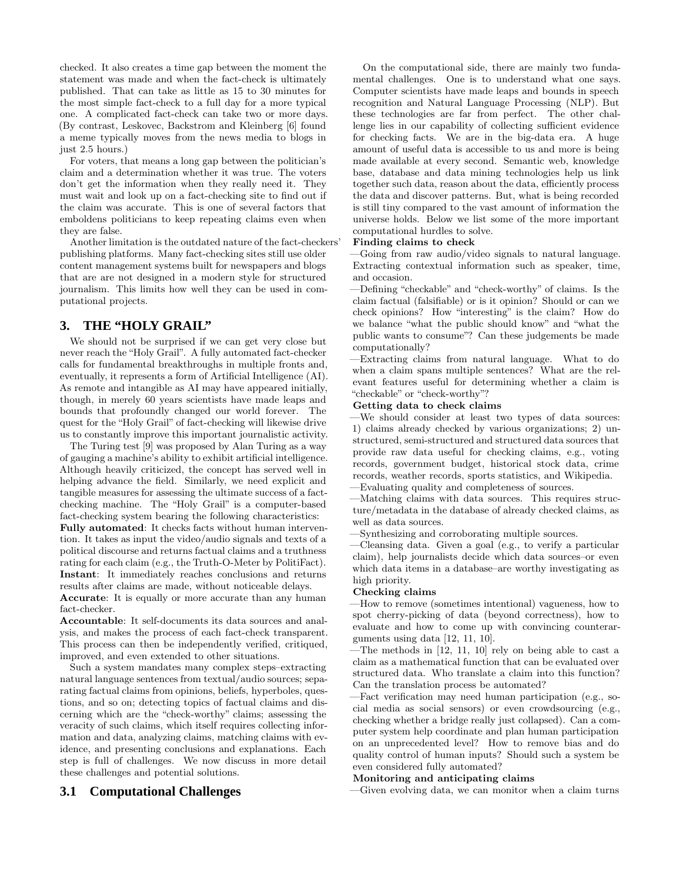checked. It also creates a time gap between the moment the statement was made and when the fact-check is ultimately published. That can take as little as 15 to 30 minutes for the most simple fact-check to a full day for a more typical one. A complicated fact-check can take two or more days. (By contrast, Leskovec, Backstrom and Kleinberg [6] found a meme typically moves from the news media to blogs in just 2.5 hours.)

For voters, that means a long gap between the politician's claim and a determination whether it was true. The voters don't get the information when they really need it. They must wait and look up on a fact-checking site to find out if the claim was accurate. This is one of several factors that emboldens politicians to keep repeating claims even when they are false.

Another limitation is the outdated nature of the fact-checkers' publishing platforms. Many fact-checking sites still use older content management systems built for newspapers and blogs that are are not designed in a modern style for structured journalism. This limits how well they can be used in computational projects.

# **3. THE "HOLY GRAIL"**

We should not be surprised if we can get very close but never reach the "Holy Grail". A fully automated fact-checker calls for fundamental breakthroughs in multiple fronts and, eventually, it represents a form of Artificial Intelligence (AI). As remote and intangible as AI may have appeared initially, though, in merely 60 years scientists have made leaps and bounds that profoundly changed our world forever. The quest for the "Holy Grail" of fact-checking will likewise drive us to constantly improve this important journalistic activity.

The Turing test [9] was proposed by Alan Turing as a way of gauging a machine's ability to exhibit artificial intelligence. Although heavily criticized, the concept has served well in helping advance the field. Similarly, we need explicit and tangible measures for assessing the ultimate success of a factchecking machine. The "Holy Grail" is a computer-based fact-checking system bearing the following characteristics:

Fully automated: It checks facts without human intervention. It takes as input the video/audio signals and texts of a political discourse and returns factual claims and a truthness rating for each claim (e.g., the Truth-O-Meter by PolitiFact). Instant: It immediately reaches conclusions and returns results after claims are made, without noticeable delays.

Accurate: It is equally or more accurate than any human fact-checker.

Accountable: It self-documents its data sources and analysis, and makes the process of each fact-check transparent. This process can then be independently verified, critiqued, improved, and even extended to other situations.

Such a system mandates many complex steps–extracting natural language sentences from textual/audio sources; separating factual claims from opinions, beliefs, hyperboles, questions, and so on; detecting topics of factual claims and discerning which are the "check-worthy" claims; assessing the veracity of such claims, which itself requires collecting information and data, analyzing claims, matching claims with evidence, and presenting conclusions and explanations. Each step is full of challenges. We now discuss in more detail these challenges and potential solutions.

# **3.1 Computational Challenges**

On the computational side, there are mainly two fundamental challenges. One is to understand what one says. Computer scientists have made leaps and bounds in speech recognition and Natural Language Processing (NLP). But these technologies are far from perfect. The other challenge lies in our capability of collecting sufficient evidence for checking facts. We are in the big-data era. A huge amount of useful data is accessible to us and more is being made available at every second. Semantic web, knowledge base, database and data mining technologies help us link together such data, reason about the data, efficiently process the data and discover patterns. But, what is being recorded is still tiny compared to the vast amount of information the universe holds. Below we list some of the more important computational hurdles to solve.

#### Finding claims to check

—Going from raw audio/video signals to natural language. Extracting contextual information such as speaker, time, and occasion.

—Defining "checkable" and "check-worthy" of claims. Is the claim factual (falsifiable) or is it opinion? Should or can we check opinions? How "interesting" is the claim? How do we balance "what the public should know" and "what the public wants to consume"? Can these judgements be made computationally?

—Extracting claims from natural language. What to do when a claim spans multiple sentences? What are the relevant features useful for determining whether a claim is "checkable" or "check-worthy"?

#### Getting data to check claims

—We should consider at least two types of data sources: 1) claims already checked by various organizations; 2) unstructured, semi-structured and structured data sources that provide raw data useful for checking claims, e.g., voting records, government budget, historical stock data, crime records, weather records, sports statistics, and Wikipedia.

—Evaluating quality and completeness of sources.

—Matching claims with data sources. This requires structure/metadata in the database of already checked claims, as well as data sources.

—Synthesizing and corroborating multiple sources.

—Cleansing data. Given a goal (e.g., to verify a particular claim), help journalists decide which data sources–or even which data items in a database–are worthy investigating as high priority.

#### Checking claims

—How to remove (sometimes intentional) vagueness, how to spot cherry-picking of data (beyond correctness), how to evaluate and how to come up with convincing counterarguments using data [12, 11, 10].

—The methods in [12, 11, 10] rely on being able to cast a claim as a mathematical function that can be evaluated over structured data. Who translate a claim into this function? Can the translation process be automated?

—Fact verification may need human participation (e.g., social media as social sensors) or even crowdsourcing (e.g., checking whether a bridge really just collapsed). Can a computer system help coordinate and plan human participation on an unprecedented level? How to remove bias and do quality control of human inputs? Should such a system be even considered fully automated?

#### Monitoring and anticipating claims

—Given evolving data, we can monitor when a claim turns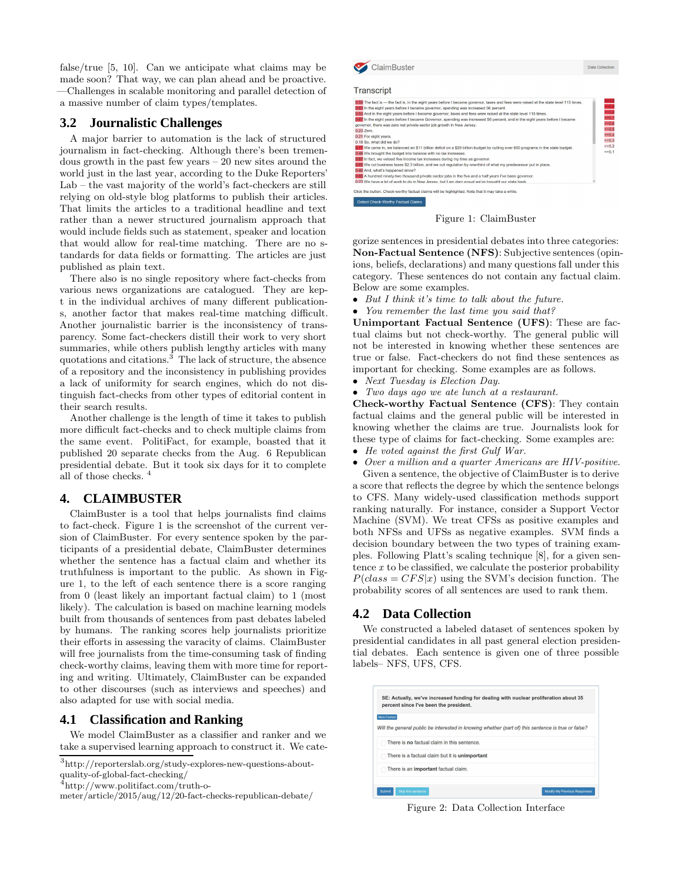false/true [5, 10]. Can we anticipate what claims may be made soon? That way, we can plan ahead and be proactive. —Challenges in scalable monitoring and parallel detection of a massive number of claim types/templates.

## **3.2 Journalistic Challenges**

A major barrier to automation is the lack of structured journalism in fact-checking. Although there's been tremendous growth in the past few years – 20 new sites around the world just in the last year, according to the Duke Reporters' Lab – the vast majority of the world's fact-checkers are still relying on old-style blog platforms to publish their articles. That limits the articles to a traditional headline and text rather than a newer structured journalism approach that would include fields such as statement, speaker and location that would allow for real-time matching. There are no standards for data fields or formatting. The articles are just published as plain text.

There also is no single repository where fact-checks from various news organizations are catalogued. They are kept in the individual archives of many different publications, another factor that makes real-time matching difficult. Another journalistic barrier is the inconsistency of transparency. Some fact-checkers distill their work to very short summaries, while others publish lengthy articles with many quotations and citations. $3 \text{ The lack of structure, the absence}$ of a repository and the inconsistency in publishing provides a lack of uniformity for search engines, which do not distinguish fact-checks from other types of editorial content in their search results.

Another challenge is the length of time it takes to publish more difficult fact-checks and to check multiple claims from the same event. PolitiFact, for example, boasted that it published 20 separate checks from the Aug. 6 Republican presidential debate. But it took six days for it to complete all of those checks. <sup>4</sup>

## **4. CLAIMBUSTER**

ClaimBuster is a tool that helps journalists find claims to fact-check. Figure 1 is the screenshot of the current version of ClaimBuster. For every sentence spoken by the participants of a presidential debate, ClaimBuster determines whether the sentence has a factual claim and whether its truthfulness is important to the public. As shown in Figure 1, to the left of each sentence there is a score ranging from 0 (least likely an important factual claim) to 1 (most likely). The calculation is based on machine learning models built from thousands of sentences from past debates labeled by humans. The ranking scores help journalists prioritize their efforts in assessing the varacity of claims. ClaimBuster will free journalists from the time-consuming task of finding check-worthy claims, leaving them with more time for reporting and writing. Ultimately, ClaimBuster can be expanded to other discourses (such as interviews and speeches) and also adapted for use with social media.

## **4.1 Classification and Ranking**

We model ClaimBuster as a classifier and ranker and we take a supervised learning approach to construct it. We cate-

4 http://www.politifact.com/truth-o-





gorize sentences in presidential debates into three categories: Non-Factual Sentence (NFS): Subjective sentences (opinions, beliefs, declarations) and many questions fall under this category. These sentences do not contain any factual claim. Below are some examples.

- But I think it's time to talk about the future.
- You remember the last time you said that?

Unimportant Factual Sentence (UFS): These are factual claims but not check-worthy. The general public will not be interested in knowing whether these sentences are true or false. Fact-checkers do not find these sentences as important for checking. Some examples are as follows.

- Next Tuesday is Election Day.
- Two days ago we ate lunch at a restaurant.

Check-worthy Factual Sentence (CFS): They contain factual claims and the general public will be interested in knowing whether the claims are true. Journalists look for these type of claims for fact-checking. Some examples are:

- He voted against the first Gulf War.
- Over a million and a quarter Americans are HIV-positive. Given a sentence, the objective of ClaimBuster is to derive a score that reflects the degree by which the sentence belongs to CFS. Many widely-used classification methods support ranking naturally. For instance, consider a Support Vector Machine (SVM). We treat CFSs as positive examples and both NFSs and UFSs as negative examples. SVM finds a decision boundary between the two types of training examples. Following Platt's scaling technique [8], for a given sentence  $x$  to be classified, we calculate the posterior probability  $P(class = CFS|x)$  using the SVM's decision function. The probability scores of all sentences are used to rank them.

## **4.2 Data Collection**

We constructed a labeled dataset of sentences spoken by presidential candidates in all past general election presidential debates. Each sentence is given one of three possible labels– NFS, UFS, CFS.



Figure 2: Data Collection Interface

<sup>3</sup> http://reporterslab.org/study-explores-new-questions-aboutquality-of-global-fact-checking/

meter/article/2015/aug/12/20-fact-checks-republican-debate/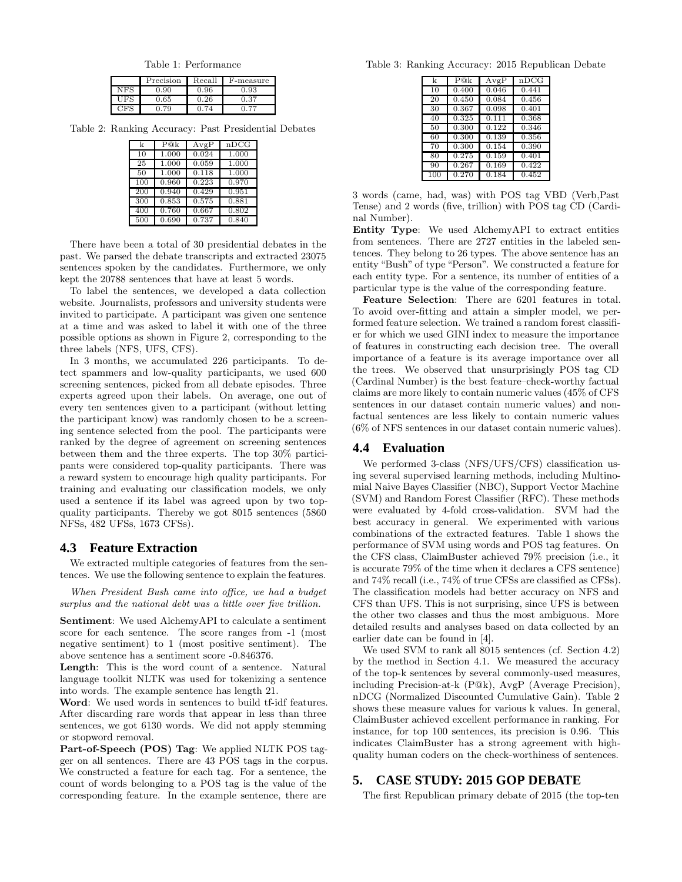Table 1: Performance

|    | Precision | Recall | '-measure |
|----|-----------|--------|-----------|
| NF | 0.90      | 0.96   | -93       |
|    | $_{0.65}$ | 0.26   | 1.37      |
|    |           |        |           |

Table 2: Ranking Accuracy: Past Presidential Debates

| k   | P@k   | AvgP  | nDCG  |
|-----|-------|-------|-------|
| 10  | 1.000 | 0.024 | 1.000 |
| 25  | 1.000 | 0.059 | 1.000 |
| 50  | 1.000 | 0.118 | 1.000 |
| 100 | 0.960 | 0.223 | 0.970 |
| 200 | 0.940 | 0.429 | 0.951 |
| 300 | 0.853 | 0.575 | 0.881 |
| 400 | 0.760 | 0.667 | 0.802 |
| 500 | 0.690 | 0.737 | 0.840 |

There have been a total of 30 presidential debates in the past. We parsed the debate transcripts and extracted 23075 sentences spoken by the candidates. Furthermore, we only kept the 20788 sentences that have at least 5 words.

To label the sentences, we developed a data collection website. Journalists, professors and university students were invited to participate. A participant was given one sentence at a time and was asked to label it with one of the three possible options as shown in Figure 2, corresponding to the three labels (NFS, UFS, CFS).

In 3 months, we accumulated 226 participants. To detect spammers and low-quality participants, we used 600 screening sentences, picked from all debate episodes. Three experts agreed upon their labels. On average, one out of every ten sentences given to a participant (without letting the participant know) was randomly chosen to be a screening sentence selected from the pool. The participants were ranked by the degree of agreement on screening sentences between them and the three experts. The top 30% participants were considered top-quality participants. There was a reward system to encourage high quality participants. For training and evaluating our classification models, we only used a sentence if its label was agreed upon by two topquality participants. Thereby we got 8015 sentences (5860 NFSs, 482 UFSs, 1673 CFSs).

# **4.3 Feature Extraction**

We extracted multiple categories of features from the sentences. We use the following sentence to explain the features.

When President Bush came into office, we had a budget surplus and the national debt was a little over five trillion.

Sentiment: We used AlchemyAPI to calculate a sentiment score for each sentence. The score ranges from -1 (most negative sentiment) to 1 (most positive sentiment). The above sentence has a sentiment score -0.846376.

Length: This is the word count of a sentence. Natural language toolkit NLTK was used for tokenizing a sentence into words. The example sentence has length 21.

Word: We used words in sentences to build tf-idf features. After discarding rare words that appear in less than three sentences, we got 6130 words. We did not apply stemming or stopword removal.

Part-of-Speech (POS) Tag: We applied NLTK POS tagger on all sentences. There are 43 POS tags in the corpus. We constructed a feature for each tag. For a sentence, the count of words belonging to a POS tag is the value of the corresponding feature. In the example sentence, there are

Table 3: Ranking Accuracy: 2015 Republican Debate

| k   | P@k   | AvgP  | nDCG  |
|-----|-------|-------|-------|
| 10  | 0.400 | 0.046 | 0.441 |
| 20  | 0.450 | 0.084 | 0.456 |
| 30  | 0.367 | 0.098 | 0.401 |
| 40  | 0.325 | 0.111 | 0.368 |
| 50  | 0.300 | 0.122 | 0.346 |
| 60  | 0.300 | 0.139 | 0.356 |
| 70  | 0.300 | 0.154 | 0.390 |
| 80  | 0.275 | 0.159 | 0.401 |
| 90  | 0.267 | 0.169 | 0.422 |
| 100 | 0.270 | 0.184 | 0.452 |

3 words (came, had, was) with POS tag VBD (Verb,Past Tense) and 2 words (five, trillion) with POS tag CD (Cardinal Number).

Entity Type: We used AlchemyAPI to extract entities from sentences. There are 2727 entities in the labeled sentences. They belong to 26 types. The above sentence has an entity "Bush" of type "Person". We constructed a feature for each entity type. For a sentence, its number of entities of a particular type is the value of the corresponding feature.

Feature Selection: There are 6201 features in total. To avoid over-fitting and attain a simpler model, we performed feature selection. We trained a random forest classifier for which we used GINI index to measure the importance of features in constructing each decision tree. The overall importance of a feature is its average importance over all the trees. We observed that unsurprisingly POS tag CD (Cardinal Number) is the best feature–check-worthy factual claims are more likely to contain numeric values (45% of CFS sentences in our dataset contain numeric values) and nonfactual sentences are less likely to contain numeric values (6% of NFS sentences in our dataset contain numeric values).

# **4.4 Evaluation**

We performed 3-class (NFS/UFS/CFS) classification using several supervised learning methods, including Multinomial Naive Bayes Classifier (NBC), Support Vector Machine (SVM) and Random Forest Classifier (RFC). These methods were evaluated by 4-fold cross-validation. SVM had the best accuracy in general. We experimented with various combinations of the extracted features. Table 1 shows the performance of SVM using words and POS tag features. On the CFS class, ClaimBuster achieved 79% precision (i.e., it is accurate 79% of the time when it declares a CFS sentence) and 74% recall (i.e., 74% of true CFSs are classified as CFSs). The classification models had better accuracy on NFS and CFS than UFS. This is not surprising, since UFS is between the other two classes and thus the most ambiguous. More detailed results and analyses based on data collected by an earlier date can be found in [4].

We used SVM to rank all 8015 sentences (cf. Section 4.2) by the method in Section 4.1. We measured the accuracy of the top-k sentences by several commonly-used measures, including Precision-at-k (P@k), AvgP (Average Precision), nDCG (Normalized Discounted Cumulative Gain). Table 2 shows these measure values for various k values. In general, ClaimBuster achieved excellent performance in ranking. For instance, for top 100 sentences, its precision is 0.96. This indicates ClaimBuster has a strong agreement with highquality human coders on the check-worthiness of sentences.

# **5. CASE STUDY: 2015 GOP DEBATE**

The first Republican primary debate of 2015 (the top-ten